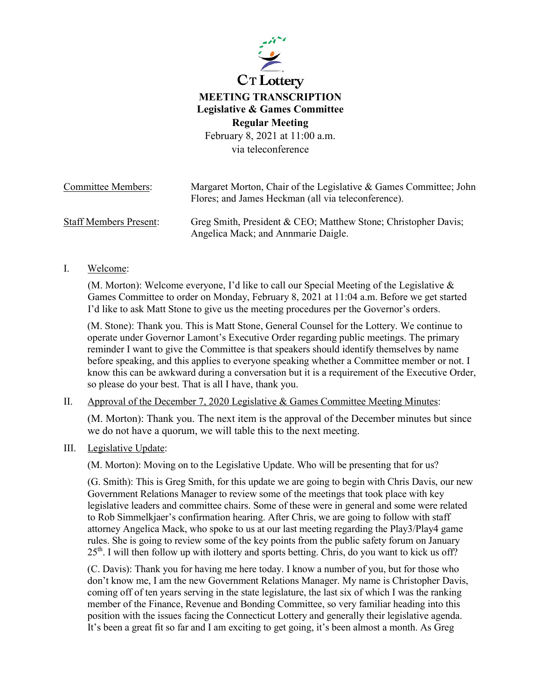

# **MEETING TRANSCRIPTION Legislative & Games Committee Regular Meeting**

February 8, 2021 at 11:00 a.m. via teleconference

| <b>Committee Members:</b>     | Margaret Morton, Chair of the Legislative & Games Committee; John<br>Flores; and James Heckman (all via teleconference). |
|-------------------------------|--------------------------------------------------------------------------------------------------------------------------|
| <b>Staff Members Present:</b> | Greg Smith, President & CEO; Matthew Stone; Christopher Davis;<br>Angelica Mack; and Annmarie Daigle.                    |

#### I. Welcome:

(M. Morton): Welcome everyone, I'd like to call our Special Meeting of the Legislative & Games Committee to order on Monday, February 8, 2021 at 11:04 a.m. Before we get started I'd like to ask Matt Stone to give us the meeting procedures per the Governor's orders.

(M. Stone): Thank you. This is Matt Stone, General Counsel for the Lottery. We continue to operate under Governor Lamont's Executive Order regarding public meetings. The primary reminder I want to give the Committee is that speakers should identify themselves by name before speaking, and this applies to everyone speaking whether a Committee member or not. I know this can be awkward during a conversation but it is a requirement of the Executive Order, so please do your best. That is all I have, thank you.

## II. Approval of the December 7, 2020 Legislative & Games Committee Meeting Minutes:

(M. Morton): Thank you. The next item is the approval of the December minutes but since we do not have a quorum, we will table this to the next meeting.

#### III. Legislative Update:

(M. Morton): Moving on to the Legislative Update. Who will be presenting that for us?

(G. Smith): This is Greg Smith, for this update we are going to begin with Chris Davis, our new Government Relations Manager to review some of the meetings that took place with key legislative leaders and committee chairs. Some of these were in general and some were related to Rob Simmelkjaer's confirmation hearing. After Chris, we are going to follow with staff attorney Angelica Mack, who spoke to us at our last meeting regarding the Play3/Play4 game rules. She is going to review some of the key points from the public safety forum on January  $25<sup>th</sup>$ . I will then follow up with ilottery and sports betting. Chris, do you want to kick us off?

(C. Davis): Thank you for having me here today. I know a number of you, but for those who don't know me, I am the new Government Relations Manager. My name is Christopher Davis, coming off of ten years serving in the state legislature, the last six of which I was the ranking member of the Finance, Revenue and Bonding Committee, so very familiar heading into this position with the issues facing the Connecticut Lottery and generally their legislative agenda. It's been a great fit so far and I am exciting to get going, it's been almost a month. As Greg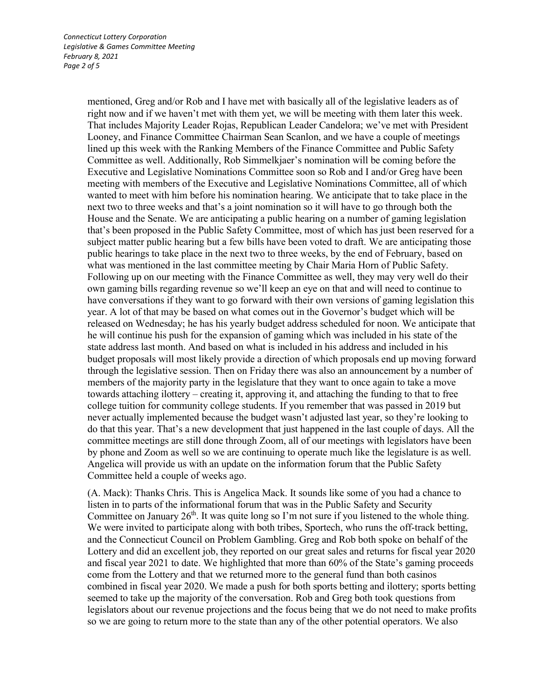mentioned, Greg and/or Rob and I have met with basically all of the legislative leaders as of right now and if we haven't met with them yet, we will be meeting with them later this week. That includes Majority Leader Rojas, Republican Leader Candelora; we've met with President Looney, and Finance Committee Chairman Sean Scanlon, and we have a couple of meetings lined up this week with the Ranking Members of the Finance Committee and Public Safety Committee as well. Additionally, Rob Simmelkjaer's nomination will be coming before the Executive and Legislative Nominations Committee soon so Rob and I and/or Greg have been meeting with members of the Executive and Legislative Nominations Committee, all of which wanted to meet with him before his nomination hearing. We anticipate that to take place in the next two to three weeks and that's a joint nomination so it will have to go through both the House and the Senate. We are anticipating a public hearing on a number of gaming legislation that's been proposed in the Public Safety Committee, most of which has just been reserved for a subject matter public hearing but a few bills have been voted to draft. We are anticipating those public hearings to take place in the next two to three weeks, by the end of February, based on what was mentioned in the last committee meeting by Chair Maria Horn of Public Safety. Following up on our meeting with the Finance Committee as well, they may very well do their own gaming bills regarding revenue so we'll keep an eye on that and will need to continue to have conversations if they want to go forward with their own versions of gaming legislation this year. A lot of that may be based on what comes out in the Governor's budget which will be released on Wednesday; he has his yearly budget address scheduled for noon. We anticipate that he will continue his push for the expansion of gaming which was included in his state of the state address last month. And based on what is included in his address and included in his budget proposals will most likely provide a direction of which proposals end up moving forward through the legislative session. Then on Friday there was also an announcement by a number of members of the majority party in the legislature that they want to once again to take a move towards attaching ilottery – creating it, approving it, and attaching the funding to that to free college tuition for community college students. If you remember that was passed in 2019 but never actually implemented because the budget wasn't adjusted last year, so they're looking to do that this year. That's a new development that just happened in the last couple of days. All the committee meetings are still done through Zoom, all of our meetings with legislators have been by phone and Zoom as well so we are continuing to operate much like the legislature is as well. Angelica will provide us with an update on the information forum that the Public Safety Committee held a couple of weeks ago.

(A. Mack): Thanks Chris. This is Angelica Mack. It sounds like some of you had a chance to listen in to parts of the informational forum that was in the Public Safety and Security Committee on January  $26<sup>th</sup>$ . It was quite long so I'm not sure if you listened to the whole thing. We were invited to participate along with both tribes, Sportech, who runs the off-track betting, and the Connecticut Council on Problem Gambling. Greg and Rob both spoke on behalf of the Lottery and did an excellent job, they reported on our great sales and returns for fiscal year 2020 and fiscal year 2021 to date. We highlighted that more than 60% of the State's gaming proceeds come from the Lottery and that we returned more to the general fund than both casinos combined in fiscal year 2020. We made a push for both sports betting and ilottery; sports betting seemed to take up the majority of the conversation. Rob and Greg both took questions from legislators about our revenue projections and the focus being that we do not need to make profits so we are going to return more to the state than any of the other potential operators. We also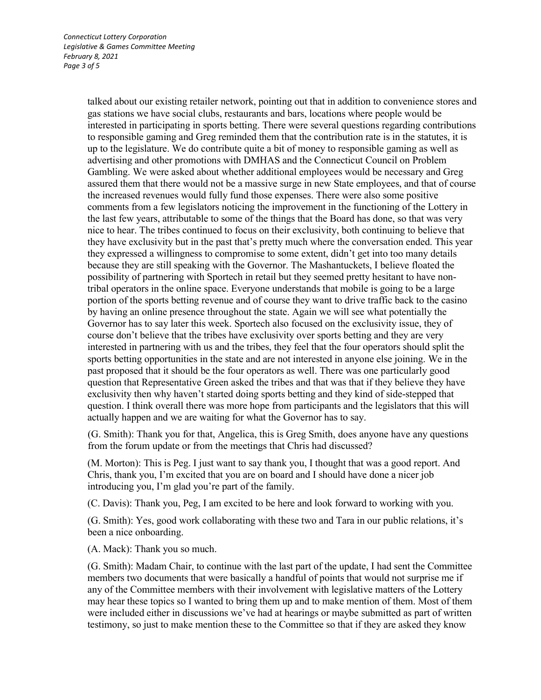talked about our existing retailer network, pointing out that in addition to convenience stores and gas stations we have social clubs, restaurants and bars, locations where people would be interested in participating in sports betting. There were several questions regarding contributions to responsible gaming and Greg reminded them that the contribution rate is in the statutes, it is up to the legislature. We do contribute quite a bit of money to responsible gaming as well as advertising and other promotions with DMHAS and the Connecticut Council on Problem Gambling. We were asked about whether additional employees would be necessary and Greg assured them that there would not be a massive surge in new State employees, and that of course the increased revenues would fully fund those expenses. There were also some positive comments from a few legislators noticing the improvement in the functioning of the Lottery in the last few years, attributable to some of the things that the Board has done, so that was very nice to hear. The tribes continued to focus on their exclusivity, both continuing to believe that they have exclusivity but in the past that's pretty much where the conversation ended. This year they expressed a willingness to compromise to some extent, didn't get into too many details because they are still speaking with the Governor. The Mashantuckets, I believe floated the possibility of partnering with Sportech in retail but they seemed pretty hesitant to have nontribal operators in the online space. Everyone understands that mobile is going to be a large portion of the sports betting revenue and of course they want to drive traffic back to the casino by having an online presence throughout the state. Again we will see what potentially the Governor has to say later this week. Sportech also focused on the exclusivity issue, they of course don't believe that the tribes have exclusivity over sports betting and they are very interested in partnering with us and the tribes, they feel that the four operators should split the sports betting opportunities in the state and are not interested in anyone else joining. We in the past proposed that it should be the four operators as well. There was one particularly good question that Representative Green asked the tribes and that was that if they believe they have exclusivity then why haven't started doing sports betting and they kind of side-stepped that question. I think overall there was more hope from participants and the legislators that this will actually happen and we are waiting for what the Governor has to say.

(G. Smith): Thank you for that, Angelica, this is Greg Smith, does anyone have any questions from the forum update or from the meetings that Chris had discussed?

(M. Morton): This is Peg. I just want to say thank you, I thought that was a good report. And Chris, thank you, I'm excited that you are on board and I should have done a nicer job introducing you, I'm glad you're part of the family.

(C. Davis): Thank you, Peg, I am excited to be here and look forward to working with you.

(G. Smith): Yes, good work collaborating with these two and Tara in our public relations, it's been a nice onboarding.

(A. Mack): Thank you so much.

(G. Smith): Madam Chair, to continue with the last part of the update, I had sent the Committee members two documents that were basically a handful of points that would not surprise me if any of the Committee members with their involvement with legislative matters of the Lottery may hear these topics so I wanted to bring them up and to make mention of them. Most of them were included either in discussions we've had at hearings or maybe submitted as part of written testimony, so just to make mention these to the Committee so that if they are asked they know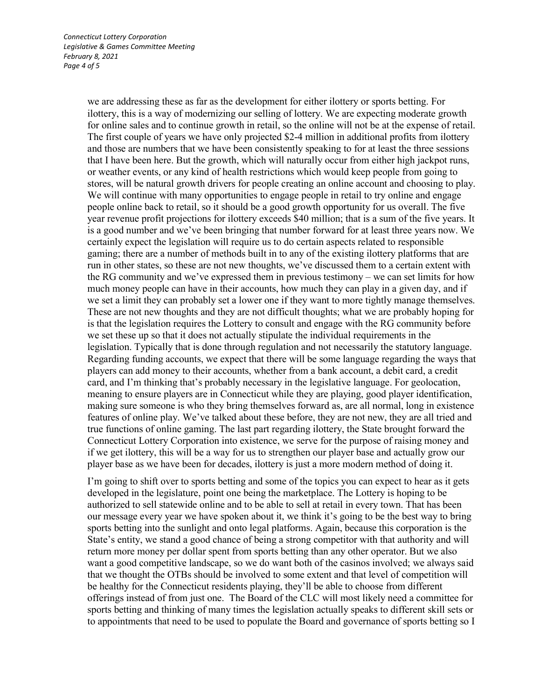we are addressing these as far as the development for either ilottery or sports betting. For ilottery, this is a way of modernizing our selling of lottery. We are expecting moderate growth for online sales and to continue growth in retail, so the online will not be at the expense of retail. The first couple of years we have only projected \$2-4 million in additional profits from ilottery and those are numbers that we have been consistently speaking to for at least the three sessions that I have been here. But the growth, which will naturally occur from either high jackpot runs, or weather events, or any kind of health restrictions which would keep people from going to stores, will be natural growth drivers for people creating an online account and choosing to play. We will continue with many opportunities to engage people in retail to try online and engage people online back to retail, so it should be a good growth opportunity for us overall. The five year revenue profit projections for ilottery exceeds \$40 million; that is a sum of the five years. It is a good number and we've been bringing that number forward for at least three years now. We certainly expect the legislation will require us to do certain aspects related to responsible gaming; there are a number of methods built in to any of the existing ilottery platforms that are run in other states, so these are not new thoughts, we've discussed them to a certain extent with the RG community and we've expressed them in previous testimony – we can set limits for how much money people can have in their accounts, how much they can play in a given day, and if we set a limit they can probably set a lower one if they want to more tightly manage themselves. These are not new thoughts and they are not difficult thoughts; what we are probably hoping for is that the legislation requires the Lottery to consult and engage with the RG community before we set these up so that it does not actually stipulate the individual requirements in the legislation. Typically that is done through regulation and not necessarily the statutory language. Regarding funding accounts, we expect that there will be some language regarding the ways that players can add money to their accounts, whether from a bank account, a debit card, a credit card, and I'm thinking that's probably necessary in the legislative language. For geolocation, meaning to ensure players are in Connecticut while they are playing, good player identification, making sure someone is who they bring themselves forward as, are all normal, long in existence features of online play. We've talked about these before, they are not new, they are all tried and true functions of online gaming. The last part regarding ilottery, the State brought forward the Connecticut Lottery Corporation into existence, we serve for the purpose of raising money and if we get ilottery, this will be a way for us to strengthen our player base and actually grow our player base as we have been for decades, ilottery is just a more modern method of doing it.

I'm going to shift over to sports betting and some of the topics you can expect to hear as it gets developed in the legislature, point one being the marketplace. The Lottery is hoping to be authorized to sell statewide online and to be able to sell at retail in every town. That has been our message every year we have spoken about it, we think it's going to be the best way to bring sports betting into the sunlight and onto legal platforms. Again, because this corporation is the State's entity, we stand a good chance of being a strong competitor with that authority and will return more money per dollar spent from sports betting than any other operator. But we also want a good competitive landscape, so we do want both of the casinos involved; we always said that we thought the OTBs should be involved to some extent and that level of competition will be healthy for the Connecticut residents playing, they'll be able to choose from different offerings instead of from just one. The Board of the CLC will most likely need a committee for sports betting and thinking of many times the legislation actually speaks to different skill sets or to appointments that need to be used to populate the Board and governance of sports betting so I